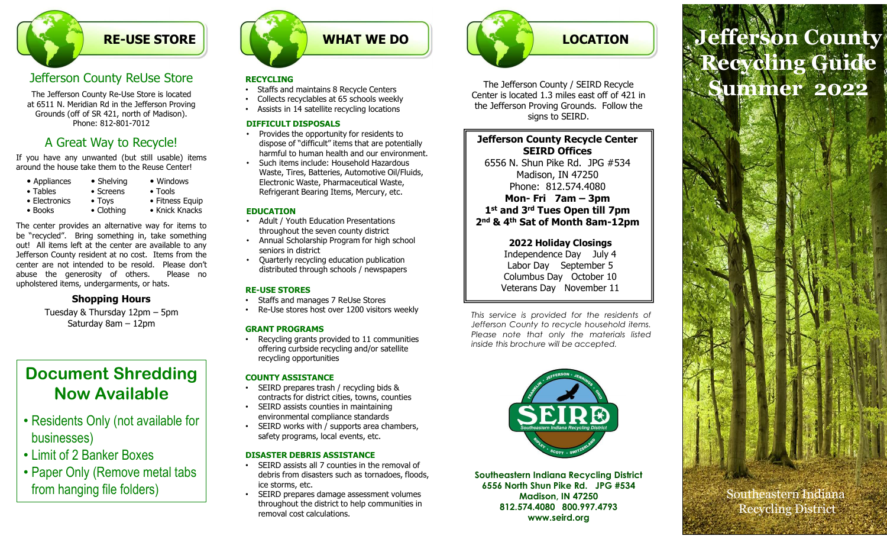## RE-USE STORE

# Jefferson County ReUse Store

**Example 19 Among School County Reling School County Reling School County Reling School County Reling School County Reling School County and The Defersion Proving County and County and County and County and County and Coun Example 19 The CONDUCT CONSUMPTER CONSUMPTER CONSUMPTER CONSUMPTER CONSUMPTER CONSUMPTER CONSUMPTER CONSUMPTER CONSUMPTER CONSUMPTER CONSUMPTER CONSUMPTER CONSUMPTER CONSUMPTER CONSUMPTER CONSUMPTER CONSUMPTER CONSUMPTER** The Jefferson County Re-Use Store is located at 6511 N. Meridian Rd in the Jefferson Proving Grounds (off of SR 421, north of Madison). Phone: 812-801-7012

# A Great Way to Recycle!

| • Appliances     | • Shelving        | • Windows       |
|------------------|-------------------|-----------------|
| $\bullet$ Tables | $\bullet$ Screens | $\bullet$ Tools |
| • Electronics    | $\bullet$ Toys    | • Fitness Equ   |
| $\bullet$ Books  | • Clothing        | • Knick Knacl   |

**EXECUTE STORE**<br> **EXECUTE STORE**<br>
The Lefferson Countly ReUse Store<br>
The Lefferson Countly ReUse Store<br>
The Lefferson Countly Reuse store is located<br>
at 6511 N. Meridian Rd in the Lefferson Proving<br>
From et al 2, north of **Example the center are available to any intervention of the center are available to any intervention of the center are available to any intervention of the center are available to any intervention of the center are availa Example 19 and the state of the state of the state of the state of the state of the state in the state of the state is the state of the state in the state of the state is the state of the state in the state of the state o Example 19 The USE STORE**<br>
The lefterson County ReUse Store<br>
The Meridian Mich the beflereson County Relise store is located<br>
escribed the behicago of the state of the proposal and the behicago of the state of the state o **EXECUTE STORE STORE ASSEMBLY THE TRANSFORM CONSUMPTION CONSUMPTION CONSUMPTION CONSUMPTION CONSUMPTION CONSUMPTION CONSUMPTION CONSUMPTION CONSUMPTION CONSUMPTION CONSUMPTION CONSUMPTION CONSUMPTION CONSUMPTION CONSUMPTIO** United through the set of the set of the set of the set of the set of the set of the set of the set of the set of the set of the set of the set of the set of the set of the set of the set of the set of the set of the set **EXECUTE STORE**<br> **EXECUTION THE STORE**<br>
The Jefferson County Re-Use Store is located<br>
at 6511 N. Neridian Rd in the Jefferson Founds (off of SR 421, north of Madison).<br>
Phone: 812-801-7012 PTFICULT DISPOS<br>
Phone: 812-801-7 Terson Country ReUse Store<br>
11 N. Merdian Rd in the deference is located<br>
11 N. Merdian Rd in the deference is coloned to the definition of the deference is to the deference of the states in the selection of the states in Solven the alternation of the secure of the set of the set of the set of the set of the set of the set of the set of the set of the set of the set of the set of the set of the set of the set of the set of the set of the se

## Shopping Hours

# Document Shredding Now Available

- Residents Only (not available for businesses)
- Limit of 2 Banker Boxes
- Paper Only (Remove metal tabs from hanging file folders)



#### RECYCLING

- Staffs and maintains 8 Recycle Centers
- Collects recyclables at 65 schools weekly
- Assists in 14 satellite recycling locations

#### DIFFICULT DISPOSALS

- Provides the opportunity for residents to dispose of "difficult" items that are potentially harmful to human health and our environment.
- Windows Electronic Waste, Pharmaceutical Waste, • Such items include: Household Hazardous Waste, Tires, Batteries, Automotive Oil/Fluids, Refrigerant Bearing Items, Mercury, etc.

#### EDUCATION

- Adult / Youth Education Presentations throughout the seven county district
- Annual Scholarship Program for high school seniors in district
- Quarterly recycling education publication distributed through schools / newspapers

#### RE-USE STORES

- Staffs and manages 7 ReUse Stores
- Re-Use stores host over 1200 visitors weekly<br>
This service is provided for the residents of

Recycling grants provided to 11 communities<br>inside this brochure will be accepted. offering curbside recycling and/or satellite recycling opportunities

#### COUNTY ASSISTANCE

- SEIRD prepares trash / recycling bids & contracts for district cities, towns, counties
- SEIRD assists counties in maintaining environmental compliance standards
- SEIRD works with / supports area chambers, safety programs, local events, etc.

#### DISASTER DEBRIS ASSISTANCE

- SEIRD assists all 7 counties in the removal of debris from disasters such as tornadoes, floods, ice storms, etc.
- SEIRD prepares damage assessment volumes throughout the district to help communities in removal cost calculations.



The Jefferson County / SEIRD Recycle Center is located 1.3 miles east off of 421 in the Jefferson Proving Grounds. Follow the signs to SEIRD.

#### Jefferson County Recycle Center SEIRD Offices 6556 N. Shun Pike Rd. JPG #534

Madison, IN 47250 Phone: 812.574.4080 1st and 3rd Tues Open till 7pm 2nd & 4th Sat of Month 8am-12pm The perfersion columply y schellars and the residents of the residents of the residents of the residents of the residents of the residents of the residents of the residents of the residents of the residents of the resident Center is located 1.3 miles east of to f 421 in<br>the Jefferson County Recycle Center<br>SEIRD Offices<br>SEIRD (SIGN Shu, DR Pike Rd.<br>19556 N. Shun Pike Rd.<br>Phone: 812.574-40800<br>Mon-Fri 72m – 3pm<br>Mone: 812.574-40800<br>Mon-Fri 72m – the Jefferson Proving Grounds. Follow the<br> **Jefferson County Recycle Center**<br> **SEIRD Offices**<br>
6556 N. Shun Pike Rd. JPG #534<br>
Mondison, IN 47250<br>
Phone: 812-574-4080<br> **Mon-Fri 7am – 3pm**<br>
1<sup>4</sup> at and **3 or ILM 2010 III 7p** signs to SEIRD.<br>
Jefferson County Recycle Center<br>
6556 N. Shun Pike Rd. JPG #534<br>
Madison, IN 47250<br>
Phone: 812.574.4080<br>
Mon- Fri 7am – 3pm<br>
1<sup>14</sup> and 3<sup>rd</sup> Tues Open till 7pm<br>
2<sup>nd</sup> & 4<sup>th</sup> Sat of Month 8am -12pm<br>
2022 H

### 2022 Holiday Closings

Independence Day July 4 Labor Day September 5 Columbus Day October 10 Veterans Day November 11

GRANT PROGRAMS<br>
GRANT PROGRAMS<br>
Please note that only the materials listed<br>
Please note that only the materials listed



Southeastern Indiana Recycling District 6556 North Shun Pike Rd. JPG #534 Madison, IN 47250 812.574.4080 800.997.4793 www.seird.org

# LOCATION<br>
Efferson County<br>
Efferson County<br>
Efferson County<br>
Surface of 6 421 in<br>
Surface of 6 421 in<br>
Surface of 6 421 in<br>
Surface of 6 421 in<br>
Surface of 6 421 in<br>
Surface of 6 421 in<br>
Surface 2022<br>
Surface 2022<br>
Surface LOCATION Jefferson County Recycling Guide Summer 2022

Southeastern Indiana Recycling District